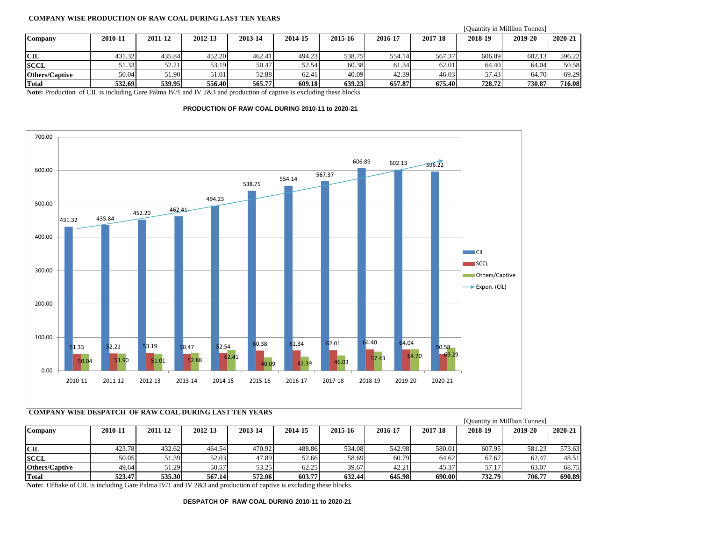## **COMPANY WISE PRODUCTION OF RAW COAL DURING LAST TEN YEARS**

|                       |         |         |         |         |         |         |         |         | [Quantity in Milllion Tonnes] |         |         |
|-----------------------|---------|---------|---------|---------|---------|---------|---------|---------|-------------------------------|---------|---------|
| <b>Company</b>        | 2010-11 | 2011-12 | 2012-13 | 2013-14 | 2014-15 | 2015-16 | 2016-17 | 2017-18 | 2018-19                       | 2019-20 | 2020-21 |
|                       |         |         |         |         |         |         |         |         |                               |         |         |
| <b>CIL</b>            | 431.32  | 435.84  | 452.20  | 462.41  | 494.23  | 538.75  | 554.14  | 567.37  | 606.89                        | 602.13  | 596.22  |
| <b>SCCL</b>           | 51.33   | 52.21   | 53.19   | 50.47   | 52.54   | 60.38   | 61.34   | 62.01   | 64.40                         | 64.04   | 50.58   |
| <b>Others/Captive</b> | 50.04   | 51.90   | 51.01   | 52.88   | 62.41   | 40.09   | 42.39   | 46.03   | 57.43                         | 64.70   | 69.29   |
| <b>Total</b>          | 532.69  | 539.95  | 556.40  | 565.77  | 609.18  | 639.23  | 657.87  | 675.40  | 728.72                        | 730.87  | 716.08  |

**Note:** Production of CIL is including Gare Palma IV/1 and IV 2&3 and production of captive is excluding these blocks.

## **PRODUCTION OF RAW COAL DURING 2010-11 to 2020-21**



## **COMPANY WISE DESPATCH OF RAW COAL DURING LAST TEN YEARS**

|                       |         |         |         |         |         |         |         |         | [Quantity in Milllion Tonnes] |         |         |
|-----------------------|---------|---------|---------|---------|---------|---------|---------|---------|-------------------------------|---------|---------|
| Company               | 2010-11 | 2011-12 | 2012-13 | 2013-14 | 2014-15 | 2015-16 | 2016-17 | 2017-18 | 2018-19                       | 2019-20 | 2020-21 |
|                       |         |         |         |         |         |         |         |         |                               |         |         |
| <b>CIL</b>            | 423.78  | 432.62  | 464.54  | 470.92  | 488.86  | 534.08  | 542.98  | 580.01  | 607.95                        | 581.23  | 573.63  |
| <b>SCCL</b>           | 50.05   | 51.39   | 52.03   | 47.89   | 52.66   | 58.69   | 60.79   | 64.62   | 67.67                         | 62.47   | 48.51   |
| <b>Others/Captive</b> | 49.64   | 51.29   | 50.57   | 53.25   | 62.25   | 39.67   | 42.21   | 45.37   | 57.17                         | 63.07   | 68.75   |
| <b>Total</b>          | 523.47  | 535.30  | 567.14  | 572.06  | 603.77  | 632.44  | 645.98  | 690.00  | 732.79                        | 706.77  | 690.89  |

**Note:** Offtake of CIL is including Gare Palma IV/1 and IV 2&3 and production of captive is excluding these blocks.

**DESPATCH OF RAW COAL DURING 2010-11 to 2020-21**